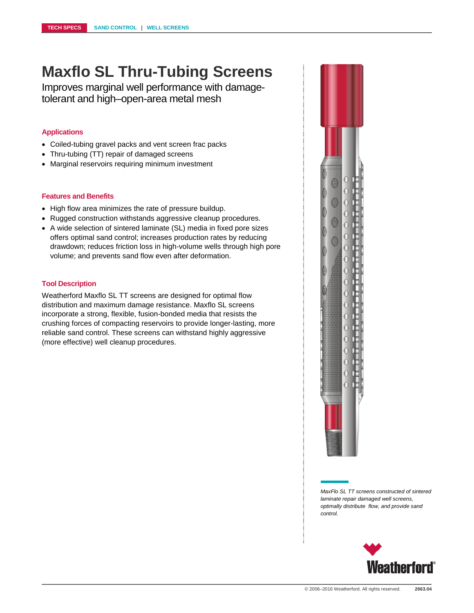# **Maxflo SL Thru-Tubing Screens**

Improves marginal well performance with damagetolerant and high–open-area metal mesh

### **Applications**

- Coiled-tubing gravel packs and vent screen frac packs
- Thru-tubing (TT) repair of damaged screens
- Marginal reservoirs requiring minimum investment

### **Features and Benefits**

- High flow area minimizes the rate of pressure buildup.
- Rugged construction withstands aggressive cleanup procedures.
- A wide selection of sintered laminate (SL) media in fixed pore sizes offers optimal sand control; increases production rates by reducing drawdown; reduces friction loss in high-volume wells through high pore volume; and prevents sand flow even after deformation.

#### **Tool Description**

Weatherford Maxflo SL TT screens are designed for optimal flow distribution and maximum damage resistance. Maxflo SL screens incorporate a strong, flexible, fusion-bonded media that resists the crushing forces of compacting reservoirs to provide longer-lasting, more reliable sand control. These screens can withstand highly aggressive (more effective) well cleanup procedures.



*MaxFlo SL TT screens constructed of sintered laminate repair damaged well screens, optimally distribute flow, and provide sand control.*